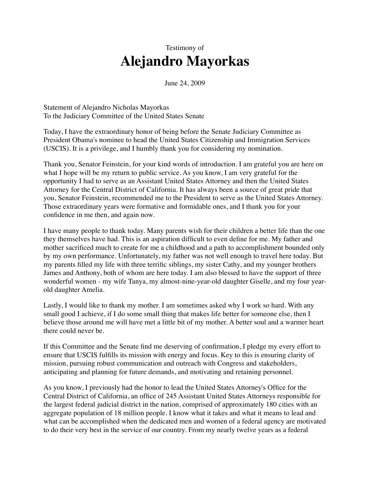## Testimony of **Alejandro Mayorkas**

June 24, 2009

Statement of Alejandro Nicholas Mayorkas To the Judiciary Committee of the United States Senate

Today, I have the extraordinary honor of being before the Senate Judiciary Committee as President Obama's nominee to head the United States Citizenship and Immigration Services (USCIS). It is a privilege, and I humbly thank you for considering my nomination.

Thank you, Senator Feinstein, for your kind words of introduction. I am grateful you are here on what I hope will be my return to public service. As you know, I am very grateful for the opportunity I had to serve as an Assistant United States Attorney and then the United States Attorney for the Central District of California. It has always been a source of great pride that you, Senator Feinstein, recommended me to the President to serve as the United States Attorney. Those extraordinary years were formative and formidable ones, and I thank you for your confidence in me then, and again now.

I have many people to thank today. Many parents wish for their children a better life than the one they themselves have had. This is an aspiration difficult to even define for me. My father and mother sacrificed much to create for me a childhood and a path to accomplishment bounded only by my own performance. Unfortunately, my father was not well enough to travel here today. But my parents filled my life with three terrific siblings, my sister Cathy, and my younger brothers James and Anthony, both of whom are here today. I am also blessed to have the support of three wonderful women - my wife Tanya, my almost-nine-year-old daughter Giselle, and my four yearold daughter Amelia.

Lastly, I would like to thank my mother. I am sometimes asked why I work so hard. With any small good I achieve, if I do some small thing that makes life better for someone else, then I believe those around me will have met a little bit of my mother. A better soul and a warmer heart there could never be.

If this Committee and the Senate find me deserving of confirmation, I pledge my every effort to ensure that USCIS fulfills its mission with energy and focus. Key to this is ensuring clarity of mission, pursuing robust communication and outreach with Congress and stakeholders, anticipating and planning for future demands, and motivating and retaining personnel.

As you know, I previously had the honor to lead the United States Attorney's Office for the Central District of California, an office of 245 Assistant United States Attorneys responsible for the largest federal judicial district in the nation, comprised of approximately 180 cities with an aggregate population of 18 million people. I know what it takes and what it means to lead and what can be accomplished when the dedicated men and women of a federal agency are motivated to do their very best in the service of our country. From my nearly twelve years as a federal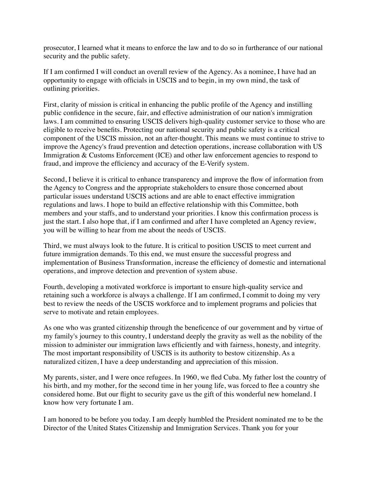prosecutor, I learned what it means to enforce the law and to do so in furtherance of our national security and the public safety.

If I am confirmed I will conduct an overall review of the Agency. As a nominee, I have had an opportunity to engage with officials in USCIS and to begin, in my own mind, the task of outlining priorities.

First, clarity of mission is critical in enhancing the public profile of the Agency and instilling public confidence in the secure, fair, and effective administration of our nation's immigration laws. I am committed to ensuring USCIS delivers high-quality customer service to those who are eligible to receive benefits. Protecting our national security and public safety is a critical component of the USCIS mission, not an after-thought. This means we must continue to strive to improve the Agency's fraud prevention and detection operations, increase collaboration with US Immigration & Customs Enforcement (ICE) and other law enforcement agencies to respond to fraud, and improve the efficiency and accuracy of the E-Verify system.

Second, I believe it is critical to enhance transparency and improve the flow of information from the Agency to Congress and the appropriate stakeholders to ensure those concerned about particular issues understand USCIS actions and are able to enact effective immigration regulations and laws. I hope to build an effective relationship with this Committee, both members and your staffs, and to understand your priorities. I know this confirmation process is just the start. I also hope that, if I am confirmed and after I have completed an Agency review, you will be willing to hear from me about the needs of USCIS.

Third, we must always look to the future. It is critical to position USCIS to meet current and future immigration demands. To this end, we must ensure the successful progress and implementation of Business Transformation, increase the efficiency of domestic and international operations, and improve detection and prevention of system abuse.

Fourth, developing a motivated workforce is important to ensure high-quality service and retaining such a workforce is always a challenge. If I am confirmed, I commit to doing my very best to review the needs of the USCIS workforce and to implement programs and policies that serve to motivate and retain employees.

As one who was granted citizenship through the beneficence of our government and by virtue of my family's journey to this country, I understand deeply the gravity as well as the nobility of the mission to administer our immigration laws efficiently and with fairness, honesty, and integrity. The most important responsibility of USCIS is its authority to bestow citizenship. As a naturalized citizen, I have a deep understanding and appreciation of this mission.

My parents, sister, and I were once refugees. In 1960, we fled Cuba. My father lost the country of his birth, and my mother, for the second time in her young life, was forced to flee a country she considered home. But our flight to security gave us the gift of this wonderful new homeland. I know how very fortunate I am.

I am honored to be before you today. I am deeply humbled the President nominated me to be the Director of the United States Citizenship and Immigration Services. Thank you for your